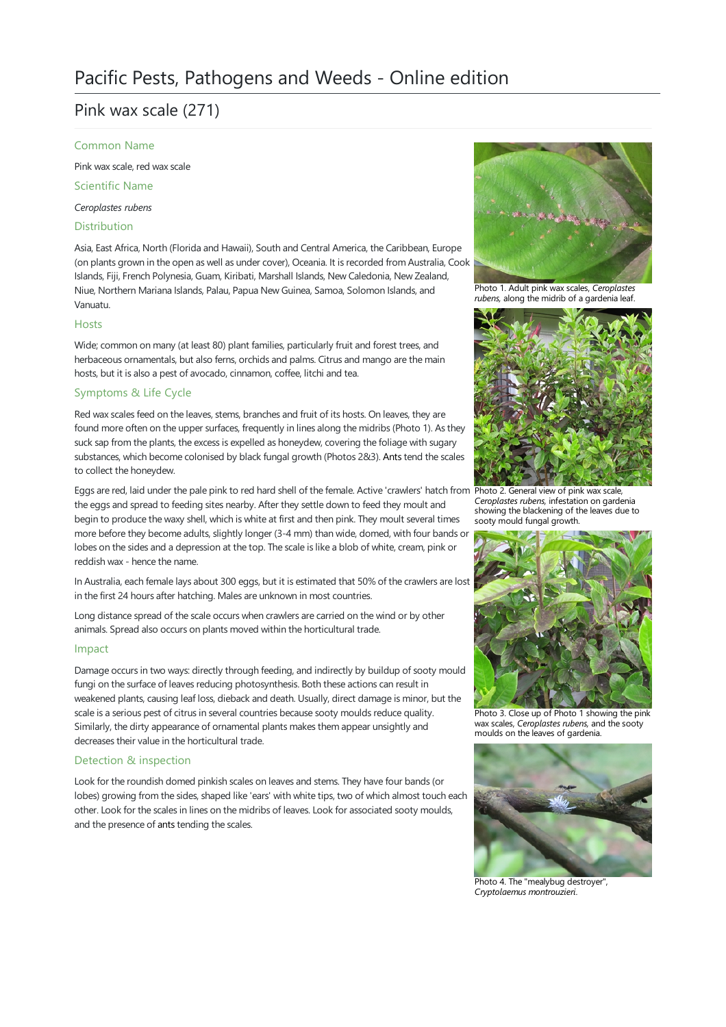# Pink wax scale (271)

### Common Name

Pink wax scale, red wax scale

Scientific Name

*Ceroplastes rubens*

# Distribution

Asia, East Africa, North (Florida and Hawaii), South and Central America, the Caribbean, Europe (on plants grown in the open as well as under cover), Oceania. It is recorded from Australia, Cook Islands, Fiji, French Polynesia, Guam, Kiribati, Marshall Islands, New Caledonia, New Zealand, Niue, Northern Mariana Islands, Palau, Papua New Guinea, Samoa, Solomon Islands, and Vanuatu.

### Hosts

Wide; common on many (at least 80) plant families, particularly fruit and forest trees, and herbaceous ornamentals, but also ferns, orchids and palms. Citrus and mango are the main hosts, but it is also a pest of avocado, cinnamon, coffee, litchi and tea.

# Symptoms & Life Cycle

Red wax scales feed on the leaves, stems, branches and fruit of its hosts. On leaves, they are found more often on the upper surfaces, frequently in lines along the midribs (Photo 1). As they suck sap from the plants, the excess is expelled as honeydew, covering the foliage with sugary substances, which become colonised by black fungal growth (Photos 2&3). [Ants](file:///C:/Users/mathewt/AppData/Local/Temp/ants.pdf) tend the scales to collect the honeydew.

Eggs are red, laid under the pale pink to red hard shell of the female. Active 'crawlers' hatch from Photo 2. General view of pink wax scale,<br>the eggs and spread to feeding sites pearby. After they settle down to feed they the eggs and spread to feeding sites nearby. After they settle down to feed they moult and begin to produce the waxy shell, which is white at first and then pink. They moult several times more before they become adults, slightly longer (3-4 mm) than wide, domed, with four bands or lobes on the sides and a depression at the top. The scale is like a blob of white, cream, pink or reddish wax - hence the name.

In Australia, each female lays about 300 eggs, but it is estimated that 50% of the crawlers are lost in the first 24 hours after hatching. Males are unknown in most countries.

Long distance spread of the scale occurs when crawlers are carried on the wind or by other animals. Spread also occurs on plants moved within the horticultural trade.

## Impact

Damage occurs in two ways: directly through feeding, and indirectly by buildup of sooty mould fungi on the surface of leaves reducing photosynthesis. Both these actions can result in weakened plants, causing leaf loss, dieback and death. Usually, direct damage is minor, but the scale is a serious pest of citrus in several countries because sooty moulds reduce quality. Similarly, the dirty appearance of ornamental plants makes them appear unsightly and decreases their value in the horticultural trade.

## Detection & inspection

Look for the roundish domed pinkish scales on leaves and stems. They have four bands (or lobes) growing from the sides, shaped like 'ears' with white tips, two of which almost touch each other. Look for the scales in lines on the midribs of leaves. Look for associated sooty moulds, and the presence of [ants](file:///C:/Users/mathewt/AppData/Local/Temp/ants.pdf) tending the scales.



Photo 1. Adult pink wax scales, *Ceroplastes* rubens, along the midrib of a gardenia leaf.



showing the blackening of the leaves due to sooty mould fungal growth.



Photo 3. Close up of Photo 1 showing the pink wax scales, *Ceroplastes rubens*, and the sooty moulds on the leaves of gardenia.



Photo 4. The"mealybug destroyer", *Cryptolaemus montrouzieri*.